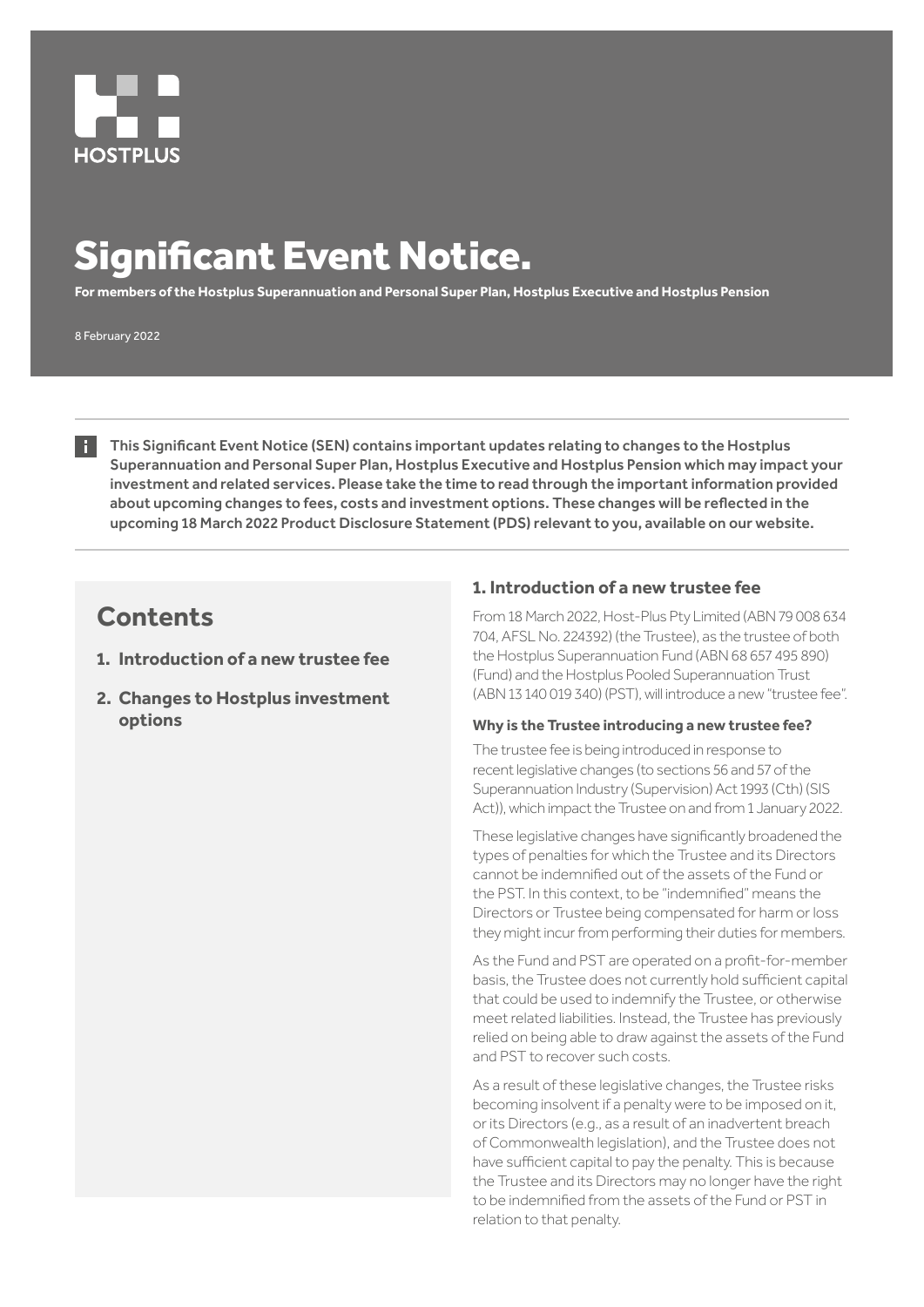

# Significant Event Notice.

**For members of the Hostplus Superannuation and Personal Super Plan, Hostplus Executive and Hostplus Pension**

8 February 2022

This Significant Event Notice (SEN) contains important updates relating to changes to the Hostplus Superannuation and Personal Super Plan, Hostplus Executive and Hostplus Pension which may impact your investment and related services. Please take the time to read through the important information provided about upcoming changes to fees, costs and investment options. These changes will be reflected in the upcoming 18 March 2022 Product Disclosure Statement (PDS) relevant to you, available on our website.

# **Contents**

- **1. Introduction of a new trustee fee**
- **2. Changes to Hostplus investment options**

# **1. Introduction of a new trustee fee**

From 18 March 2022, Host-Plus Pty Limited (ABN 79 008 634 704, AFSL No. 224392) (the Trustee), as the trustee of both the Hostplus Superannuation Fund (ABN 68 657 495 890) (Fund) and the Hostplus Pooled Superannuation Trust (ABN 13 140 019 340) (PST), will introduce a new "trustee fee".

### **Why is the Trustee introducing a new trustee fee?**

The trustee fee is being introduced in response to recent legislative changes (to sections 56 and 57 of the Superannuation Industry (Supervision) Act 1993 (Cth) (SIS Act)), which impact the Trustee on and from 1 January 2022.

These legislative changes have significantly broadened the types of penalties for which the Trustee and its Directors cannot be indemnified out of the assets of the Fund or the PST. In this context, to be "indemnified" means the Directors or Trustee being compensated for harm or loss they might incur from performing their duties for members.

As the Fund and PST are operated on a profit-for-member basis, the Trustee does not currently hold sufficient capital that could be used to indemnify the Trustee, or otherwise meet related liabilities. Instead, the Trustee has previously relied on being able to draw against the assets of the Fund and PST to recover such costs.

As a result of these legislative changes, the Trustee risks becoming insolvent if a penalty were to be imposed on it, or its Directors (e.g., as a result of an inadvertent breach of Commonwealth legislation), and the Trustee does not have sufficient capital to pay the penalty. This is because the Trustee and its Directors may no longer have the right to be indemnified from the assets of the Fund or PST in relation to that penalty.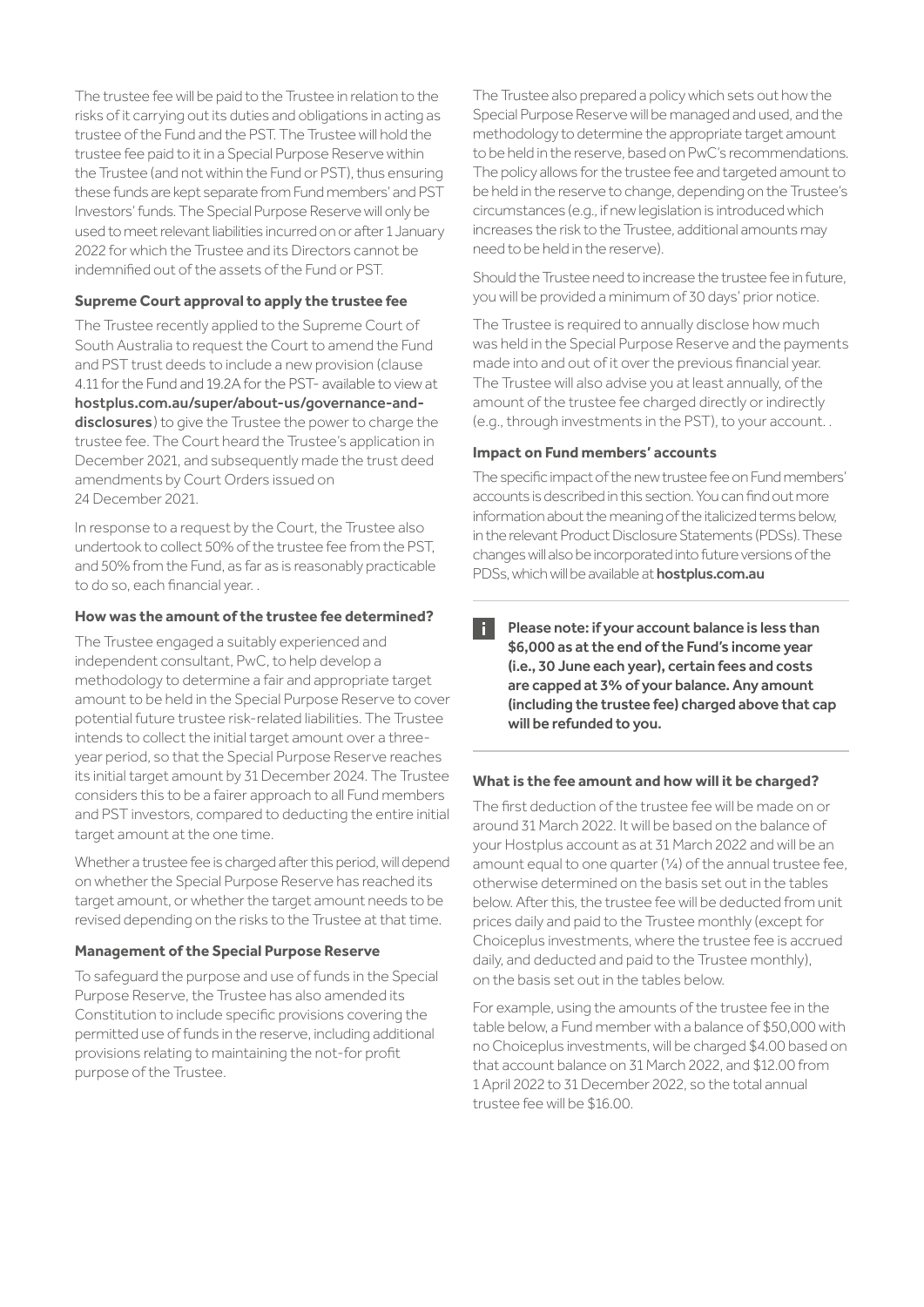The trustee fee will be paid to the Trustee in relation to the risks of it carrying out its duties and obligations in acting as trustee of the Fund and the PST. The Trustee will hold the trustee fee paid to it in a Special Purpose Reserve within the Trustee (and not within the Fund or PST), thus ensuring these funds are kept separate from Fund members' and PST Investors' funds. The Special Purpose Reserve will only be used to meet relevant liabilities incurred on or after 1 January 2022 for which the Trustee and its Directors cannot be indemnified out of the assets of the Fund or PST.

# **Supreme Court approval to apply the trustee fee**

The Trustee recently applied to the Supreme Court of South Australia to request the Court to amend the Fund and PST trust deeds to include a new provision (clause 4.11 for the Fund and 19.2A for the PST- available to view at hostplus.com.au/super/about-us/governance-anddisclosures) to give the Trustee the power to charge the trustee fee. The Court heard the Trustee's application in December 2021, and subsequently made the trust deed amendments by Court Orders issued on 24 December 2021.

In response to a request by the Court, the Trustee also undertook to collect 50% of the trustee fee from the PST, and 50% from the Fund, as far as is reasonably practicable to do so, each financial year. .

### **How was the amount of the trustee fee determined?**

The Trustee engaged a suitably experienced and independent consultant, PwC, to help develop a methodology to determine a fair and appropriate target amount to be held in the Special Purpose Reserve to cover potential future trustee risk-related liabilities. The Trustee intends to collect the initial target amount over a threeyear period, so that the Special Purpose Reserve reaches its initial target amount by 31 December 2024. The Trustee considers this to be a fairer approach to all Fund members and PST investors, compared to deducting the entire initial target amount at the one time.

Whether a trustee fee is charged after this period, will depend on whether the Special Purpose Reserve has reached its target amount, or whether the target amount needs to be revised depending on the risks to the Trustee at that time.

### **Management of the Special Purpose Reserve**

To safeguard the purpose and use of funds in the Special Purpose Reserve, the Trustee has also amended its Constitution to include specific provisions covering the permitted use of funds in the reserve, including additional provisions relating to maintaining the not-for profit purpose of the Trustee.

The Trustee also prepared a policy which sets out how the Special Purpose Reserve will be managed and used, and the methodology to determine the appropriate target amount to be held in the reserve, based on PwC's recommendations. The policy allows for the trustee fee and targeted amount to be held in the reserve to change, depending on the Trustee's circumstances (e.g., if new legislation is introduced which increases the risk to the Trustee, additional amounts may need to be held in the reserve).

Should the Trustee need to increase the trustee fee in future, you will be provided a minimum of 30 days' prior notice.

The Trustee is required to annually disclose how much was held in the Special Purpose Reserve and the payments made into and out of it over the previous financial year. The Trustee will also advise you at least annually, of the amount of the trustee fee charged directly or indirectly (e.g., through investments in the PST), to your account. .

### **Impact on Fund members' accounts**

The specific impact of the new trustee fee on Fund members' accounts is described in this section. You can find out more information about the meaning of the italicized terms below, in the relevant Product Disclosure Statements (PDSs). These changes will also be incorporated into future versions of the PDSs, which will be available at **hostplus.com.au** 

Please note: if your account balance is less than H \$6,000 as at the end of the Fund's income year (i.e., 30 June each year), certain fees and costs are capped at 3% of your balance. Any amount (including the trustee fee) charged above that cap will be refunded to you.

### **What is the fee amount and how will it be charged?**

The first deduction of the trustee fee will be made on or around 31 March 2022. It will be based on the balance of your Hostplus account as at 31 March 2022 and will be an amount equal to one quarter (¼) of the annual trustee fee, otherwise determined on the basis set out in the tables below. After this, the trustee fee will be deducted from unit prices daily and paid to the Trustee monthly (except for Choiceplus investments, where the trustee fee is accrued daily, and deducted and paid to the Trustee monthly), on the basis set out in the tables below.

For example, using the amounts of the trustee fee in the table below, a Fund member with a balance of \$50,000 with no Choiceplus investments, will be charged \$4.00 based on that account balance on 31 March 2022, and \$12.00 from 1 April 2022 to 31 December 2022, so the total annual trustee fee will be \$16.00.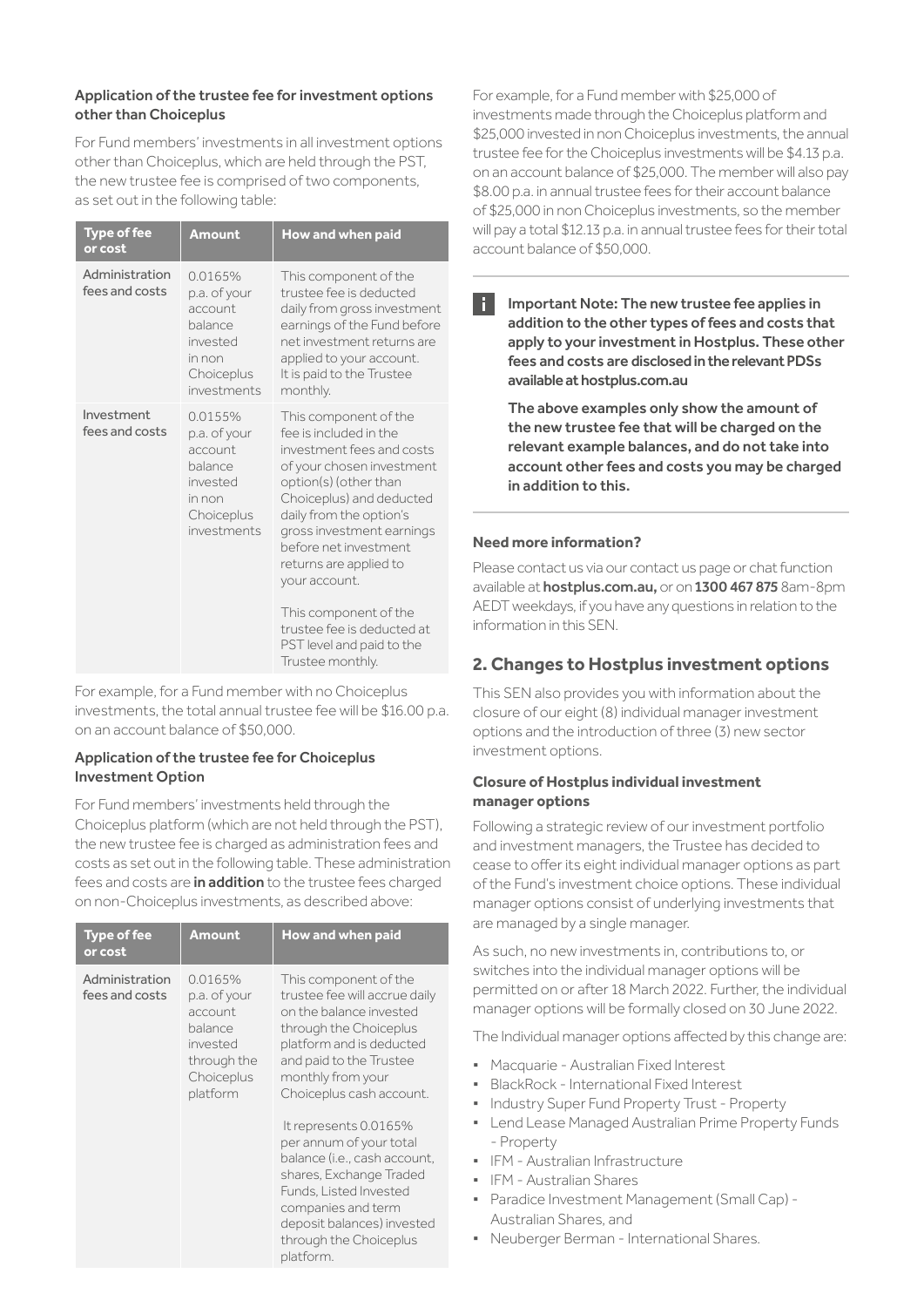# Application of the trustee fee for investment options other than Choiceplus

For Fund members' investments in all investment options other than Choiceplus, which are held through the PST, the new trustee fee is comprised of two components, as set out in the following table:

| <b>Type of fee</b><br>or cost    | <b>Amount</b>                                                                                    | How and when paid                                                                                                                                                                                                                                                                          |
|----------------------------------|--------------------------------------------------------------------------------------------------|--------------------------------------------------------------------------------------------------------------------------------------------------------------------------------------------------------------------------------------------------------------------------------------------|
| Administration<br>fees and costs | 0.0165%<br>p.a. of your<br>account<br>balance<br>invested<br>in non<br>Choiceplus<br>investments | This component of the<br>trustee fee is deducted<br>daily from gross investment<br>earnings of the Fund before<br>net investment returns are<br>applied to your account.<br>It is paid to the Trustee<br>monthly.                                                                          |
| Investment<br>fees and costs     | 0.0155%<br>p.a. of your<br>account<br>balance<br>invested<br>in non<br>Choiceplus<br>investments | This component of the<br>fee is included in the<br>investment fees and costs<br>of your chosen investment<br>option(s) (other than<br>Choiceplus) and deducted<br>daily from the option's<br>gross investment earnings<br>before net investment<br>returns are applied to<br>your account. |
|                                  |                                                                                                  | This component of the<br>trustee fee is deducted at<br>PST level and paid to the<br>Trustee monthly.                                                                                                                                                                                       |

For example, for a Fund member with no Choiceplus investments, the total annual trustee fee will be \$16.00 p.a. on an account balance of \$50,000.

# Application of the trustee fee for Choiceplus Investment Option

For Fund members' investments held through the Choiceplus platform (which are not held through the PST), the new trustee fee is charged as administration fees and costs as set out in the following table. These administration fees and costs are in addition to the trustee fees charged on non-Choiceplus investments, as described above:

| <b>Type of fee</b><br>or cost    | <b>Amount</b>                                                                                      | How and when paid                                                                                                                                                                                                                                                                                                                                                                                                                                       |
|----------------------------------|----------------------------------------------------------------------------------------------------|---------------------------------------------------------------------------------------------------------------------------------------------------------------------------------------------------------------------------------------------------------------------------------------------------------------------------------------------------------------------------------------------------------------------------------------------------------|
| Administration<br>fees and costs | 0.0165%<br>p.a. of your<br>account<br>balance<br>invested<br>through the<br>Choiceplus<br>platform | This component of the<br>trustee fee will accrue daily<br>on the balance invested<br>through the Choiceplus<br>platform and is deducted<br>and paid to the Trustee<br>monthly from your<br>Choiceplus cash account.<br>It represents 0.0165%<br>per annum of your total<br>balance (i.e., cash account.<br>shares, Exchange Traded<br>Funds, Listed Invested<br>companies and term<br>deposit balances) invested<br>through the Choiceplus<br>platform. |

For example, for a Fund member with \$25,000 of investments made through the Choiceplus platform and \$25,000 invested in non Choiceplus investments, the annual trustee fee for the Choiceplus investments will be \$4.13 p.a. on an account balance of \$25,000. The member will also pay \$8.00 p.a. in annual trustee fees for their account balance of \$25,000 in non Choiceplus investments, so the member will pay a total \$12.13 p.a. in annual trustee fees for their total account balance of \$50,000.

 $\blacksquare$  Important Note: The new trustee fee applies in addition to the other types of fees and costs that apply to your investment in Hostplus. These other fees and costs are disclosed in the relevant PDSs available at hostplus.com.au

The above examples only show the amount of the new trustee fee that will be charged on the relevant example balances, and do not take into account other fees and costs you may be charged in addition to this.

# **Need more information?**

Please contact us via our contact us page or chat function available at hostplus.com.au, or on 1300 467 875 8am-8pm AEDT weekdays, if you have any questions in relation to the information in this SEN.

# **2. Changes to Hostplus investment options**

This SEN also provides you with information about the closure of our eight (8) individual manager investment options and the introduction of three (3) new sector investment options.

# **Closure of Hostplus individual investment manager options**

Following a strategic review of our investment portfolio and investment managers, the Trustee has decided to cease to offer its eight individual manager options as part of the Fund's investment choice options. These individual manager options consist of underlying investments that are managed by a single manager.

As such, no new investments in, contributions to, or switches into the individual manager options will be permitted on or after 18 March 2022. Further, the individual manager options will be formally closed on 30 June 2022.

The Individual manager options affected by this change are:

- **·** Macquarie Australian Fixed Interest
- **·** BlackRock International Fixed Interest
- **·** Industry Super Fund Property Trust Property
- **·** Lend Lease Managed Australian Prime Property Funds - Property
- **·** IFM Australian Infrastructure
- **·** IFM Australian Shares
- **·** Paradice Investment Management (Small Cap) Australian Shares, and
- **·** Neuberger Berman International Shares.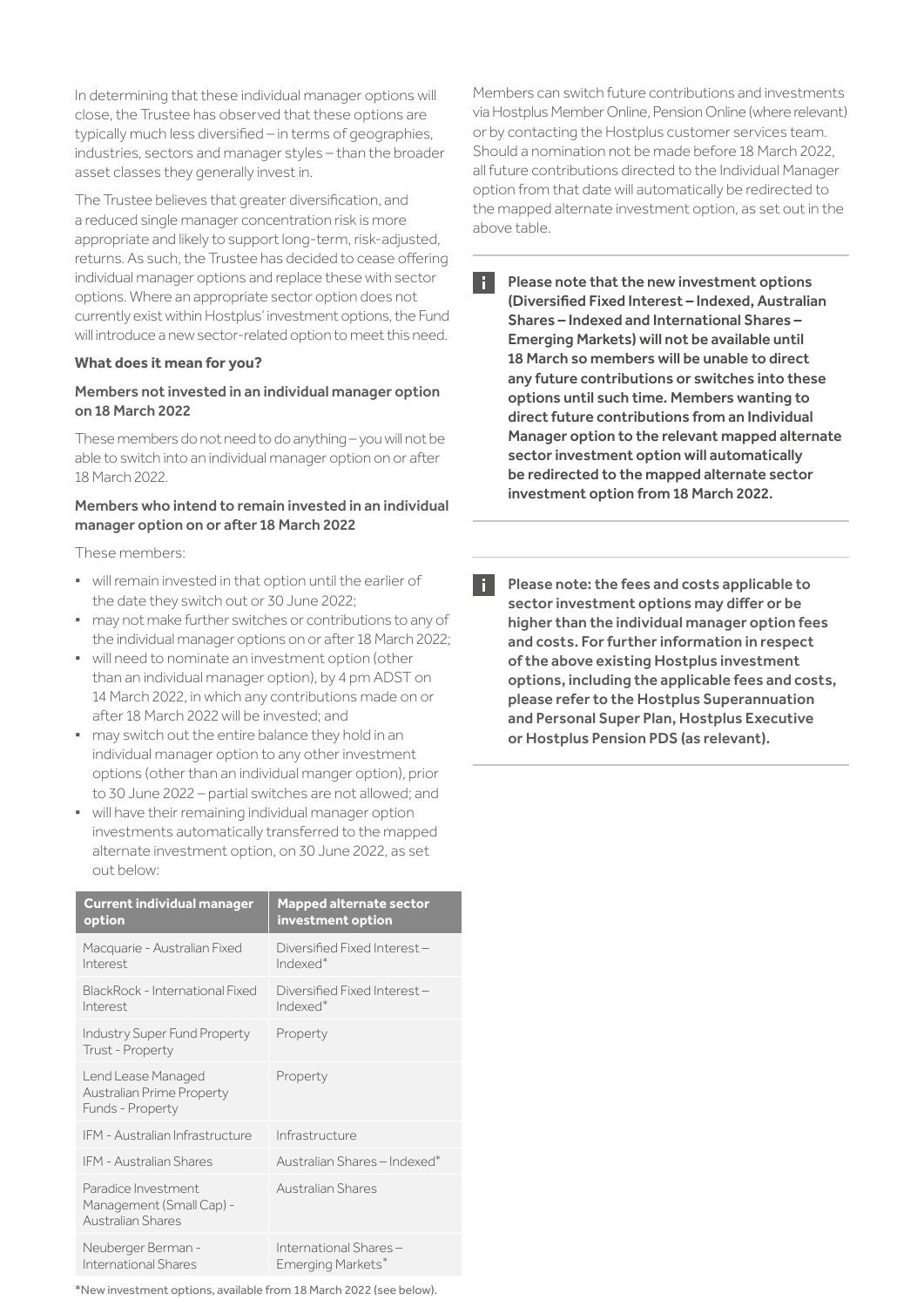In determining that these individual manager options will close, the Trustee has observed that these options are typically much less diversified – in terms of geographies, industries, sectors and manager styles – than the broader asset classes they generally invest in.

The Trustee believes that greater diversification, and a reduced single manager concentration risk is more appropriate and likely to support long-term, risk-adjusted, returns. As such, the Trustee has decided to cease offering individual manager options and replace these with sector options. Where an appropriate sector option does not currently exist within Hostplus' investment options, the Fund will introduce a new sector-related option to meet this need.

### **What does it mean for you?**

### Members not invested in an individual manager option on 18 March 2022

These members do not need to do anything – you will not be able to switch into an individual manager option on or after 18 March 2022.

## Members who intend to remain invested in an individual manager option on or after 18 March 2022

These members:

- **·** will remain invested in that option until the earlier of the date they switch out or 30 June 2022;
- **·** may not make further switches or contributions to any of the individual manager options on or after 18 March 2022;
- **·** will need to nominate an investment option (other than an individual manager option), by 4 pm ADST on 14 March 2022, in which any contributions made on or after 18 March 2022 will be invested; and
- **·** may switch out the entire balance they hold in an individual manager option to any other investment options (other than an individual manger option), prior to 30 June 2022 – partial switches are not allowed; and
- **·** will have their remaining individual manager option investments automatically transferred to the mapped alternate investment option, on 30 June 2022, as set out below:

| <b>Current individual manager</b><br>option                          | <b>Mapped alternate sector</b><br>investment option  |
|----------------------------------------------------------------------|------------------------------------------------------|
| Macquarie - Australian Fixed<br>Interest                             | Diversified Fixed Interest-<br>Indexed <sup>*</sup>  |
| BlackRock - International Fixed<br>Interest                          | Diversified Fixed Interest -<br>Indexed <sup>*</sup> |
| <b>Industry Super Fund Property</b><br>Trust - Property              | Property                                             |
| Lend Lease Managed<br>Australian Prime Property<br>Funds - Property  | Property                                             |
| IFM - Australian Infrastructure                                      | Infrastructure                                       |
| <b>IFM - Australian Shares</b>                                       | Australian Shares - Indexed <sup>*</sup>             |
| Paradice Investment<br>Management (Small Cap) -<br>Australian Shares | Australian Shares                                    |
| Neuberger Berman -<br>International Shares                           | International Shares-<br>Emerging Markets*           |

\*New investment options, available from 18 March 2022 (see below).

Members can switch future contributions and investments via Hostplus Member Online, Pension Online (where relevant) or by contacting the Hostplus customer services team. Should a nomination not be made before 18 March 2022, all future contributions directed to the Individual Manager option from that date will automatically be redirected to the mapped alternate investment option, as set out in the above table.

- H. Please note that the new investment options (Diversified Fixed Interest – Indexed, Australian Shares – Indexed and International Shares – Emerging Markets) will not be available until 18 March so members will be unable to direct any future contributions or switches into these options until such time. Members wanting to direct future contributions from an Individual Manager option to the relevant mapped alternate sector investment option will automatically be redirected to the mapped alternate sector investment option from 18 March 2022.
- R. Please note: the fees and costs applicable to sector investment options may differ or be higher than the individual manager option fees and costs. For further information in respect of the above existing Hostplus investment options, including the applicable fees and costs, please refer to the Hostplus Superannuation and Personal Super Plan, Hostplus Executive or Hostplus Pension PDS (as relevant).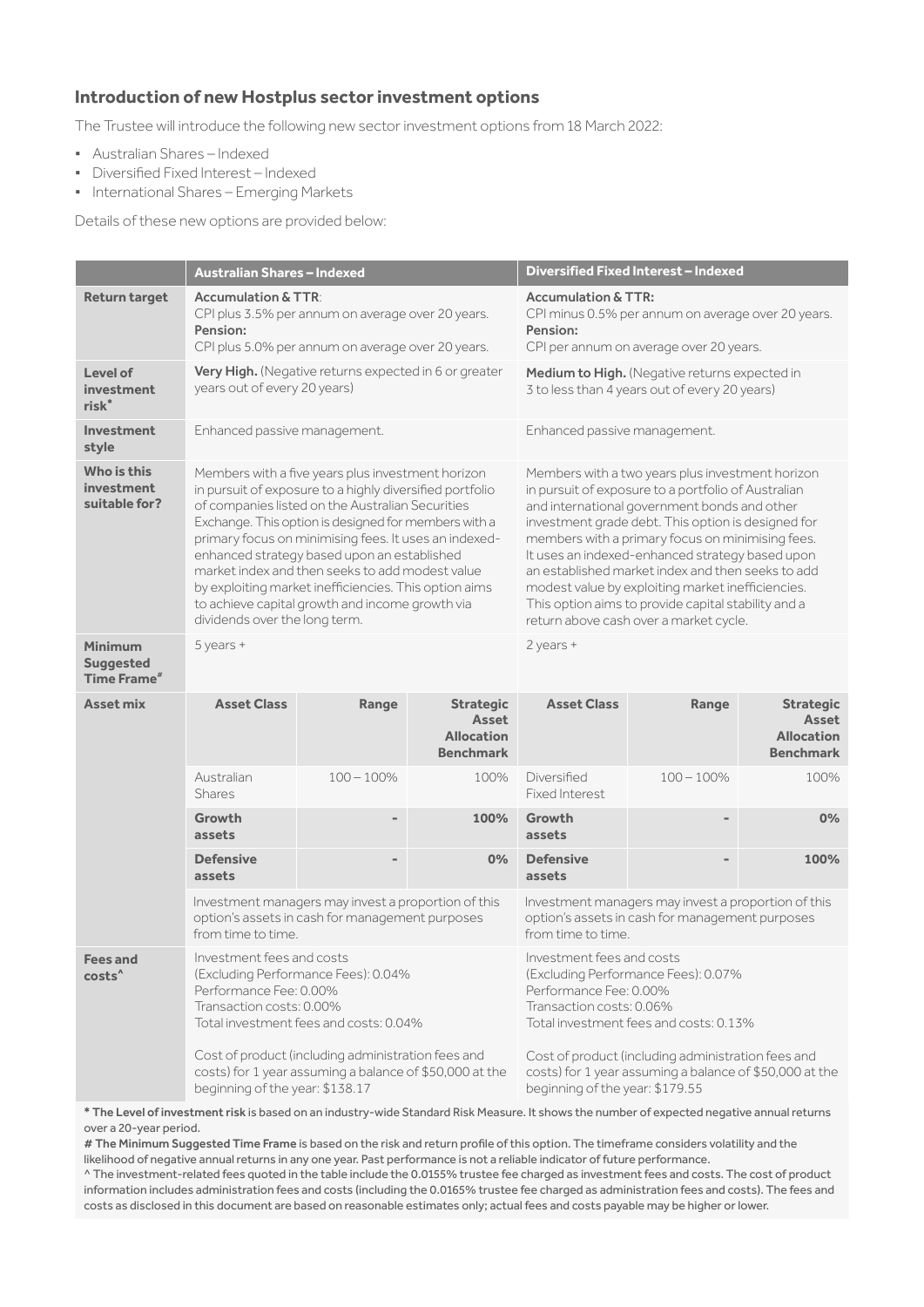# **Introduction of new Hostplus sector investment options**

The Trustee will introduce the following new sector investment options from 18 March 2022:

- **·** Australian Shares Indexed
- **·** Diversified Fixed Interest Indexed
- **·** International Shares Emerging Markets

Details of these new options are provided below:

|                                                                                            | <b>Australian Shares - Indexed</b>                                                                                                                                                                                                                                                                                                                                                                                                                                                                                                |               |                                                                                                                                                                                                                        | Diversified Fixed Interest - Indexed                                                                                                                                                                                                                                                                                                                                                                                                                                                                                            |               |                                                                    |
|--------------------------------------------------------------------------------------------|-----------------------------------------------------------------------------------------------------------------------------------------------------------------------------------------------------------------------------------------------------------------------------------------------------------------------------------------------------------------------------------------------------------------------------------------------------------------------------------------------------------------------------------|---------------|------------------------------------------------------------------------------------------------------------------------------------------------------------------------------------------------------------------------|---------------------------------------------------------------------------------------------------------------------------------------------------------------------------------------------------------------------------------------------------------------------------------------------------------------------------------------------------------------------------------------------------------------------------------------------------------------------------------------------------------------------------------|---------------|--------------------------------------------------------------------|
| <b>Return target</b>                                                                       | <b>Accumulation &amp; TTR:</b><br>CPI plus 3.5% per annum on average over 20 years.<br>Pension:<br>CPI plus 5.0% per annum on average over 20 years.                                                                                                                                                                                                                                                                                                                                                                              |               | <b>Accumulation &amp; TTR:</b><br>CPI minus 0.5% per annum on average over 20 years.<br>Pension:<br>CPI per annum on average over 20 years.                                                                            |                                                                                                                                                                                                                                                                                                                                                                                                                                                                                                                                 |               |                                                                    |
| Level of<br>investment<br>risk <sup>*</sup>                                                | Very High. (Negative returns expected in 6 or greater<br>years out of every 20 years)                                                                                                                                                                                                                                                                                                                                                                                                                                             |               |                                                                                                                                                                                                                        | Medium to High. (Negative returns expected in<br>3 to less than 4 years out of every 20 years)                                                                                                                                                                                                                                                                                                                                                                                                                                  |               |                                                                    |
| <b>Investment</b><br>style                                                                 | Enhanced passive management.                                                                                                                                                                                                                                                                                                                                                                                                                                                                                                      |               |                                                                                                                                                                                                                        | Enhanced passive management.                                                                                                                                                                                                                                                                                                                                                                                                                                                                                                    |               |                                                                    |
| Who is this<br>investment<br>suitable for?                                                 | Members with a five years plus investment horizon<br>in pursuit of exposure to a highly diversified portfolio<br>of companies listed on the Australian Securities<br>Exchange. This option is designed for members with a<br>primary focus on minimising fees. It uses an indexed-<br>enhanced strategy based upon an established<br>market index and then seeks to add modest value<br>by exploiting market inefficiencies. This option aims<br>to achieve capital growth and income growth via<br>dividends over the long term. |               |                                                                                                                                                                                                                        | Members with a two years plus investment horizon<br>in pursuit of exposure to a portfolio of Australian<br>and international government bonds and other<br>investment grade debt. This option is designed for<br>members with a primary focus on minimising fees.<br>It uses an indexed-enhanced strategy based upon<br>an established market index and then seeks to add<br>modest value by exploiting market inefficiencies.<br>This option aims to provide capital stability and a<br>return above cash over a market cycle. |               |                                                                    |
| Minimum<br><b>Suggested</b><br>Time Frame <sup>#</sup>                                     | 5 years +                                                                                                                                                                                                                                                                                                                                                                                                                                                                                                                         |               |                                                                                                                                                                                                                        | $2$ years +                                                                                                                                                                                                                                                                                                                                                                                                                                                                                                                     |               |                                                                    |
| <b>Asset mix</b>                                                                           | <b>Asset Class</b>                                                                                                                                                                                                                                                                                                                                                                                                                                                                                                                | Range         | <b>Strategic</b><br>Asset<br><b>Allocation</b><br><b>Benchmark</b>                                                                                                                                                     | <b>Asset Class</b>                                                                                                                                                                                                                                                                                                                                                                                                                                                                                                              | Range         | <b>Strategic</b><br>Asset<br><b>Allocation</b><br><b>Benchmark</b> |
|                                                                                            | Australian<br><b>Shares</b>                                                                                                                                                                                                                                                                                                                                                                                                                                                                                                       | $100 - 100\%$ | 100%                                                                                                                                                                                                                   | Diversified<br><b>Fixed Interest</b>                                                                                                                                                                                                                                                                                                                                                                                                                                                                                            | $100 - 100\%$ | 100%                                                               |
|                                                                                            | Growth<br>assets                                                                                                                                                                                                                                                                                                                                                                                                                                                                                                                  |               | 100%                                                                                                                                                                                                                   | Growth<br>assets                                                                                                                                                                                                                                                                                                                                                                                                                                                                                                                |               | 0%                                                                 |
|                                                                                            | <b>Defensive</b><br>assets                                                                                                                                                                                                                                                                                                                                                                                                                                                                                                        |               | 0%                                                                                                                                                                                                                     | <b>Defensive</b><br>assets                                                                                                                                                                                                                                                                                                                                                                                                                                                                                                      |               | 100%                                                               |
|                                                                                            | Investment managers may invest a proportion of this<br>option's assets in cash for management purposes<br>from time to time.                                                                                                                                                                                                                                                                                                                                                                                                      |               | Investment managers may invest a proportion of this<br>option's assets in cash for management purposes<br>from time to time.                                                                                           |                                                                                                                                                                                                                                                                                                                                                                                                                                                                                                                                 |               |                                                                    |
| <b>Fees and</b><br>costs <sup>^</sup>                                                      | Investment fees and costs<br>(Excluding Performance Fees): 0.04%<br>Performance Fee: 0.00%<br>Transaction costs: 0.00%<br>Total investment fees and costs: 0.04%<br>Cost of product (including administration fees and                                                                                                                                                                                                                                                                                                            |               | Investment fees and costs<br>(Excluding Performance Fees): 0.07%<br>Performance Fee: 0.00%<br>Transaction costs: 0.06%<br>Total investment fees and costs: 0.13%<br>Cost of product (including administration fees and |                                                                                                                                                                                                                                                                                                                                                                                                                                                                                                                                 |               |                                                                    |
| costs) for 1 year assuming a balance of \$50,000 at the<br>beginning of the year: \$138.17 |                                                                                                                                                                                                                                                                                                                                                                                                                                                                                                                                   |               |                                                                                                                                                                                                                        | costs) for 1 year assuming a balance of \$50,000 at the<br>beginning of the year: \$179.55                                                                                                                                                                                                                                                                                                                                                                                                                                      |               |                                                                    |

\* The Level of investment risk is based on an industry-wide Standard Risk Measure. It shows the number of expected negative annual returns over a 20-year period.

# The Minimum Suggested Time Frame is based on the risk and return profile of this option. The timeframe considers volatility and the likelihood of negative annual returns in any one year. Past performance is not a reliable indicator of future performance.

^ The investment-related fees quoted in the table include the 0.0155% trustee fee charged as investment fees and costs. The cost of product information includes administration fees and costs (including the 0.0165% trustee fee charged as administration fees and costs). The fees and costs as disclosed in this document are based on reasonable estimates only; actual fees and costs payable may be higher or lower.